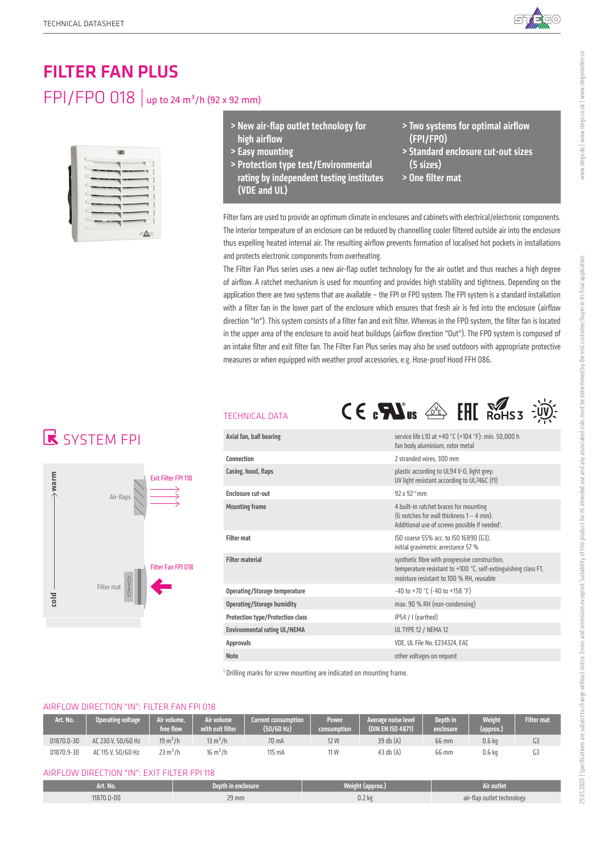

# FILTER FAN PLUS FPI/FPO 018 | up to 24 m<sup>3</sup>/h (92 x 92 mm)



- > New air-flap outlet technology for high airflow
- > Easy mounting
- > Protection type test/Environmental rating by independent testing institutes (VDE and UL)
- > Two systems for optimal airflow (FPI/FPO)
- > Standard enclosure cut-out sizes (5 sizes)
- > One filter mat

Filter fans are used to provide an optimum climate in enclosures and cabinets with electrical/electronic components. The interior temperature of an enclosure can be reduced by channelling cooler filtered outside air into the enclosure thus expelling heated internal air. The resulting airflow prevents formation of localised hot pockets in installations and protects electronic components from overheating.

The Filter Fan Plus series uses a new air-flap outlet technology for the air outlet and thus reaches a high degree of airflow. A ratchet mechanism is used for mounting and provides high stability and tightness. Depending on the application there are two systems that are available – the FPI or FPO system. The FPI system is a standard installation with a filter fan in the lower part of the enclosure which ensures that fresh air is fed into the enclosure (airflow direction "In"). This system consists of a filter fan and exit filter. Whereas in the FPO system, the filter fan is located in the upper area of the enclosure to avoid heat buildups (airflow direction "Out"). The FPO system is composed of an intake filter and exit filter fan. The Filter Fan Plus series may also be used outdoors with appropriate protective measures or when equipped with weather proof accessories, e.g. Hose-proof Hood FFH 086.

## **K** SYSTEM FPI



### TECHNICAL DATA



| Axial fan, ball bearing                 | service life L10 at +40 °C (+104 °F): min. 50,000 h<br>fan body aluminium, rotor metal                                                                       |
|-----------------------------------------|--------------------------------------------------------------------------------------------------------------------------------------------------------------|
| Connection                              | 2 stranded wires, 300 mm                                                                                                                                     |
| Casing, hood, flaps                     | plastic according to UL94 V-0, light grey;<br>UV light resistant according to UL746C (f1)                                                                    |
| <b>Enclosure cut-out</b>                | $92 \times 92^{+1}$ mm                                                                                                                                       |
| <b>Mounting frame</b>                   | 4 built-in ratchet braces for mounting<br>(6 notches for wall thickness $1 - 4$ mm).<br>Additional use of screws possible if needed <sup>1</sup> .           |
| <b>Filter mat</b>                       | ISO coarse 55% acc. to ISO 16890 (G3),<br>initial gravimetric arrestance 57 %                                                                                |
| <b>Filter material</b>                  | synthetic fibre with progressive construction,<br>temperature resistant to +100 °C, self-extinguishing class F1,<br>moisture resistant to 100 % RH, reusable |
| Operating/Storage temperature           | $-40$ to $+70$ °C ( $-40$ to $+158$ °F)                                                                                                                      |
| <b>Operating/Storage humidity</b>       | max. 90 % RH (non-condensing)                                                                                                                                |
| <b>Protection type/Protection class</b> | $IP54 / I$ (earthed)                                                                                                                                         |
| <b>Environmental rating UL/NEMA</b>     | <b>UL TYPE 12 / NEMA 12</b>                                                                                                                                  |
| <b>Approvals</b>                        | VDE, UL File No. E234324, EAC                                                                                                                                |
| <b>Note</b>                             | other voltages on request                                                                                                                                    |
|                                         |                                                                                                                                                              |

<sup>1</sup> Drilling marks for screw mounting are indicated on mounting frame.

### AIRFLOW DIRECTION "IN": FILTER FAN FPI 018

| Art. No.   | Operating voltage  | Air volume.<br>free flow: | <b>Nir volume</b><br>with exit filter | <b>Current consumption</b><br>(50/60 Hz) | <b>Power</b><br>consumption | Average noise level<br>(DIN EN ISO 4871) | Depth in<br>enclosure' | <b>Weight</b><br><b>Tapprox.</b> | <b>Filter mate</b> |
|------------|--------------------|---------------------------|---------------------------------------|------------------------------------------|-----------------------------|------------------------------------------|------------------------|----------------------------------|--------------------|
| 01870.0-30 | AC 230 V. 50/60 Hz | $19 \text{ m}^3/h$        | $13 \text{ m}^3/h$                    | 70 mA                                    | 12 W                        | 39 db (A)                                | 66 mm                  | 0.6 <sub>k</sub>                 |                    |
| 01870.9-30 | AC 115 V. 50/60 Hz | $23 \text{ m}^3/h$        | 16 m <sup>3</sup> /h                  | 115 mA                                   | 11 W                        | 43 db $(A)$                              | 66 mm                  | 0.6 kg                           | uɔ                 |

#### AIRFLOW DIRECTION "IN": EXIT FILTER FPI 118

| Art. No.  | Depth in enclosure | Weight (approx.) | Air outlet                           |
|-----------|--------------------|------------------|--------------------------------------|
| 1870.0-00 | 29 mm              | $0.2$ $kg$       | air-flap outlet technology<br>$\sim$ |